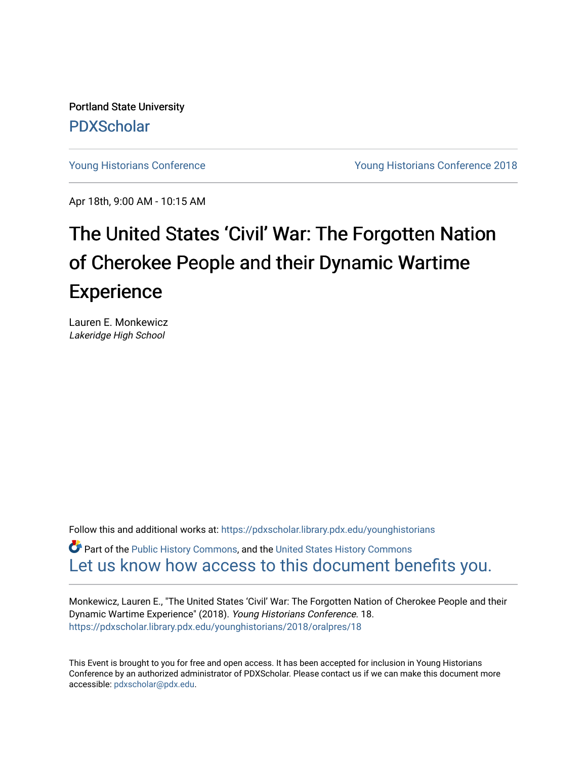Portland State University [PDXScholar](https://pdxscholar.library.pdx.edu/)

[Young Historians Conference](https://pdxscholar.library.pdx.edu/younghistorians) [Young Historians Conference 2018](https://pdxscholar.library.pdx.edu/younghistorians/2018) 

Apr 18th, 9:00 AM - 10:15 AM

## The United States 'Civil' War: The Forgotten Nation of Cherokee People and their Dynamic Wartime **Experience**

Lauren E. Monkewicz Lakeridge High School

Follow this and additional works at: [https://pdxscholar.library.pdx.edu/younghistorians](https://pdxscholar.library.pdx.edu/younghistorians?utm_source=pdxscholar.library.pdx.edu%2Fyounghistorians%2F2018%2Foralpres%2F18&utm_medium=PDF&utm_campaign=PDFCoverPages)

*O* Part of the [Public History Commons,](http://network.bepress.com/hgg/discipline/1292?utm_source=pdxscholar.library.pdx.edu%2Fyounghistorians%2F2018%2Foralpres%2F18&utm_medium=PDF&utm_campaign=PDFCoverPages) and the United States History Commons [Let us know how access to this document benefits you.](http://library.pdx.edu/services/pdxscholar-services/pdxscholar-feedback/) 

Monkewicz, Lauren E., "The United States 'Civil' War: The Forgotten Nation of Cherokee People and their Dynamic Wartime Experience" (2018). Young Historians Conference. 18. [https://pdxscholar.library.pdx.edu/younghistorians/2018/oralpres/18](https://pdxscholar.library.pdx.edu/younghistorians/2018/oralpres/18?utm_source=pdxscholar.library.pdx.edu%2Fyounghistorians%2F2018%2Foralpres%2F18&utm_medium=PDF&utm_campaign=PDFCoverPages)

This Event is brought to you for free and open access. It has been accepted for inclusion in Young Historians Conference by an authorized administrator of PDXScholar. Please contact us if we can make this document more accessible: [pdxscholar@pdx.edu.](mailto:pdxscholar@pdx.edu)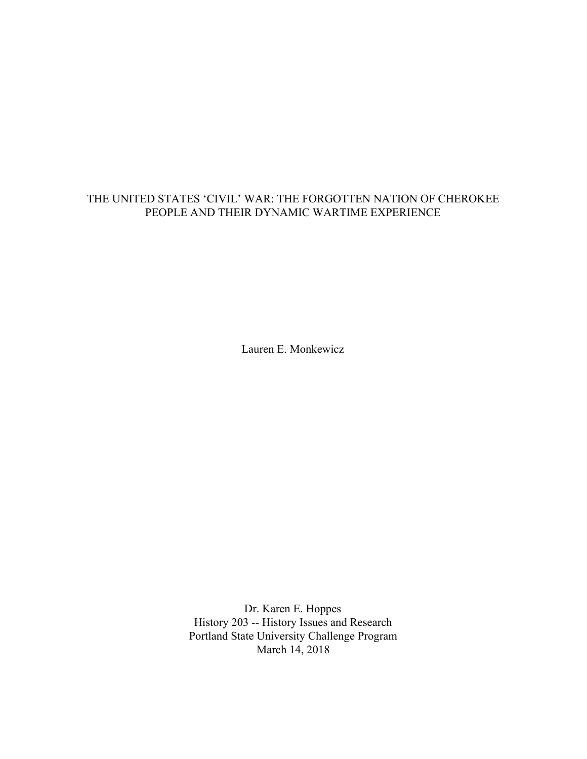## THE UNITED STATES 'CIVIL' WAR: THE FORGOTTEN NATION OF CHEROKEE PEOPLE AND THEIR DYNAMIC WARTIME EXPERIENCE

Lauren E. Monkewicz

Dr. Karen E. Hoppes History 203 -- History Issues and Research Portland State University Challenge Program March 14, 2018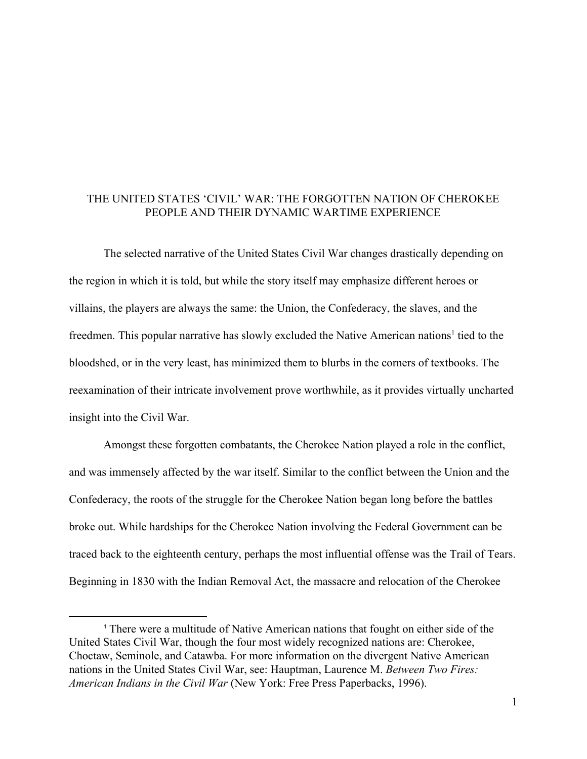## THE UNITED STATES 'CIVIL' WAR: THE FORGOTTEN NATION OF CHEROKEE PEOPLE AND THEIR DYNAMIC WARTIME EXPERIENCE

The selected narrative of the United States Civil War changes drastically depending on the region in which it is told, but while the story itself may emphasize different heroes or villains, the players are always the same: the Union, the Confederacy, the slaves, and the freedmen. This popular narrative has slowly excluded the Native American nations<sup>1</sup> tied to the bloodshed, or in the very least, has minimized them to blurbs in the corners of textbooks. The reexamination of their intricate involvement prove worthwhile, as it provides virtually uncharted insight into the Civil War.

Amongst these forgotten combatants, the Cherokee Nation played a role in the conflict, and was immensely affected by the war itself. Similar to the conflict between the Union and the Confederacy, the roots of the struggle for the Cherokee Nation began long before the battles broke out. While hardships for the Cherokee Nation involving the Federal Government can be traced back to the eighteenth century, perhaps the most influential offense was the Trail of Tears. Beginning in 1830 with the Indian Removal Act, the massacre and relocation of the Cherokee

<sup>1</sup> There were a multitude of Native American nations that fought on either side of the United States Civil War, though the four most widely recognized nations are: Cherokee, Choctaw, Seminole, and Catawba. For more information on the divergent Native American nations in the United States Civil War, see: Hauptman, Laurence M. *Between Two Fires: American Indians in the Civil War* (New York: Free Press Paperbacks, 1996).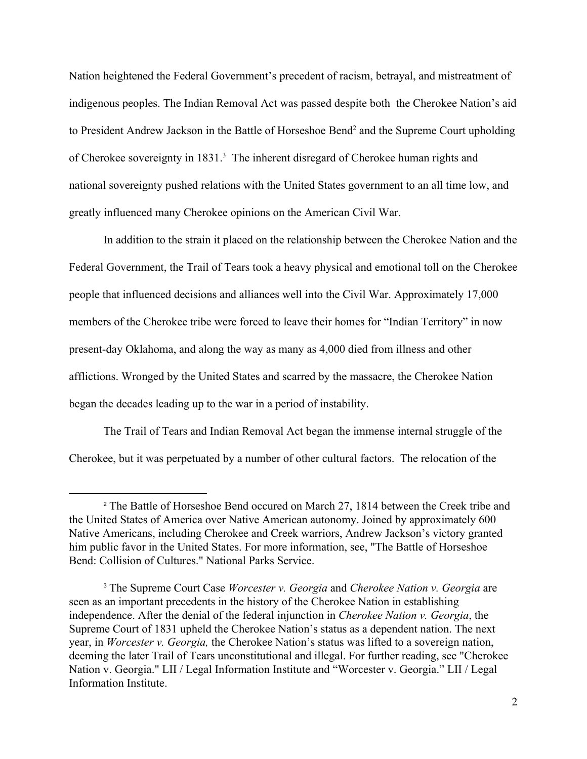Nation heightened the Federal Government's precedent of racism, betrayal, and mistreatment of indigenous peoples. The Indian Removal Act was passed despite both the Cherokee Nation's aid to President Andrew Jackson in the Battle of Horseshoe Bend<sup>2</sup> and the Supreme Court upholding of Cherokee sovereignty in 1831.<sup>3</sup> The inherent disregard of Cherokee human rights and national sovereignty pushed relations with the United States government to an all time low, and greatly influenced many Cherokee opinions on the American Civil War.

In addition to the strain it placed on the relationship between the Cherokee Nation and the Federal Government, the Trail of Tears took a heavy physical and emotional toll on the Cherokee people that influenced decisions and alliances well into the Civil War. Approximately 17,000 members of the Cherokee tribe were forced to leave their homes for "Indian Territory" in now present-day Oklahoma, and along the way as many as 4,000 died from illness and other afflictions. Wronged by the United States and scarred by the massacre, the Cherokee Nation began the decades leading up to the war in a period of instability.

The Trail of Tears and Indian Removal Act began the immense internal struggle of the Cherokee, but it was perpetuated by a number of other cultural factors. The relocation of the

<sup>2</sup> The Battle of Horseshoe Bend occured on March 27, 1814 between the Creek tribe and the United States of America over Native American autonomy. Joined by approximately 600 Native Americans, including Cherokee and Creek warriors, Andrew Jackson's victory granted him public favor in the United States. For more information, see, "The Battle of Horseshoe Bend: Collision of Cultures." National Parks Service.

<sup>3</sup> The Supreme Court Case *Worcester v. Georgia* and *Cherokee Nation v. Georgia* are seen as an important precedents in the history of the Cherokee Nation in establishing independence. After the denial of the federal injunction in *Cherokee Nation v. Georgia*, the Supreme Court of 1831 upheld the Cherokee Nation's status as a dependent nation. The next year, in *Worcester v. Georgia,* the Cherokee Nation's status was lifted to a sovereign nation, deeming the later Trail of Tears unconstitutional and illegal. For further reading, see "Cherokee Nation v. Georgia." LII / Legal Information Institute and "Worcester v. Georgia." LII / Legal Information Institute.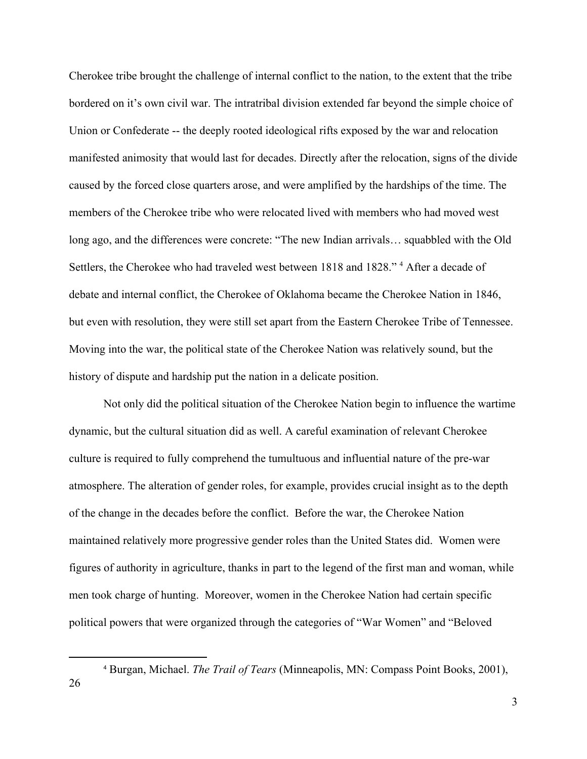Cherokee tribe brought the challenge of internal conflict to the nation, to the extent that the tribe bordered on it's own civil war. The intratribal division extended far beyond the simple choice of Union or Confederate -- the deeply rooted ideological rifts exposed by the war and relocation manifested animosity that would last for decades. Directly after the relocation, signs of the divide caused by the forced close quarters arose, and were amplified by the hardships of the time. The members of the Cherokee tribe who were relocated lived with members who had moved west long ago, and the differences were concrete: "The new Indian arrivals… squabbled with the Old Settlers, the Cherokee who had traveled west between 1818 and 1828." <sup>4</sup> After a decade of debate and internal conflict, the Cherokee of Oklahoma became the Cherokee Nation in 1846, but even with resolution, they were still set apart from the Eastern Cherokee Tribe of Tennessee. Moving into the war, the political state of the Cherokee Nation was relatively sound, but the history of dispute and hardship put the nation in a delicate position.

Not only did the political situation of the Cherokee Nation begin to influence the wartime dynamic, but the cultural situation did as well. A careful examination of relevant Cherokee culture is required to fully comprehend the tumultuous and influential nature of the pre-war atmosphere. The alteration of gender roles, for example, provides crucial insight as to the depth of the change in the decades before the conflict. Before the war, the Cherokee Nation maintained relatively more progressive gender roles than the United States did. Women were figures of authority in agriculture, thanks in part to the legend of the first man and woman, while men took charge of hunting. Moreover, women in the Cherokee Nation had certain specific political powers that were organized through the categories of "War Women" and "Beloved

<sup>4</sup> Burgan, Michael. *The Trail of Tears* (Minneapolis, MN: Compass Point Books, 2001),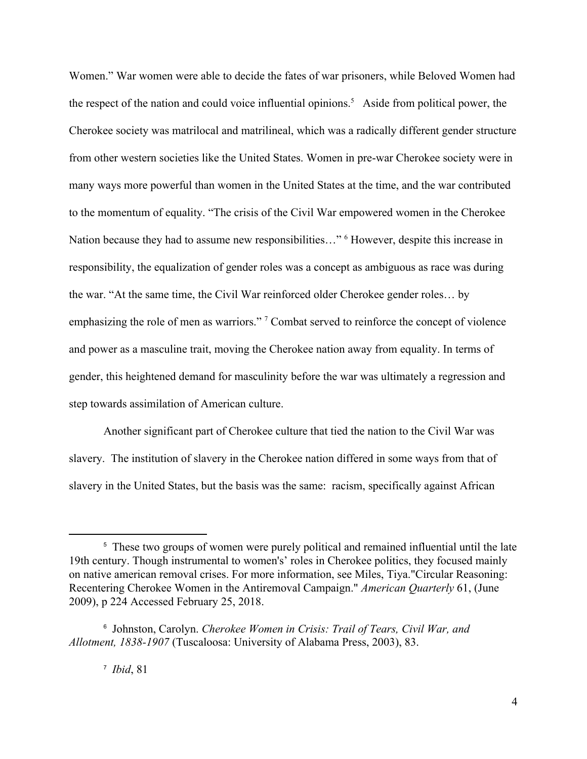Women." War women were able to decide the fates of war prisoners, while Beloved Women had the respect of the nation and could voice influential opinions.<sup>5</sup> Aside from political power, the Cherokee society was matrilocal and matrilineal, which was a radically different gender structure from other western societies like the United States. Women in pre-war Cherokee society were in many ways more powerful than women in the United States at the time, and the war contributed to the momentum of equality. "The crisis of the Civil War empowered women in the Cherokee Nation because they had to assume new responsibilities..." <sup>6</sup> However, despite this increase in responsibility, the equalization of gender roles was a concept as ambiguous as race was during the war. "At the same time, the Civil War reinforced older Cherokee gender roles… by emphasizing the role of men as warriors."<sup>7</sup> Combat served to reinforce the concept of violence and power as a masculine trait, moving the Cherokee nation away from equality. In terms of gender, this heightened demand for masculinity before the war was ultimately a regression and step towards assimilation of American culture.

Another significant part of Cherokee culture that tied the nation to the Civil War was slavery. The institution of slavery in the Cherokee nation differed in some ways from that of slavery in the United States, but the basis was the same: racism, specifically against African

<sup>&</sup>lt;sup>5</sup> These two groups of women were purely political and remained influential until the late 19th century. Though instrumental to women's' roles in Cherokee politics, they focused mainly on native american removal crises. For more information, see Miles, Tiya."Circular Reasoning: Recentering Cherokee Women in the Antiremoval Campaign." *American Quarterly* 61, (June 2009), p 224 Accessed February 25, 2018.

<sup>6</sup> Johnston, Carolyn. *Cherokee Women in Crisis: Trail of Tears, Civil War, and Allotment, 1838-1907* (Tuscaloosa: University of Alabama Press, 2003), 83.

<sup>7</sup> *Ibid*, 81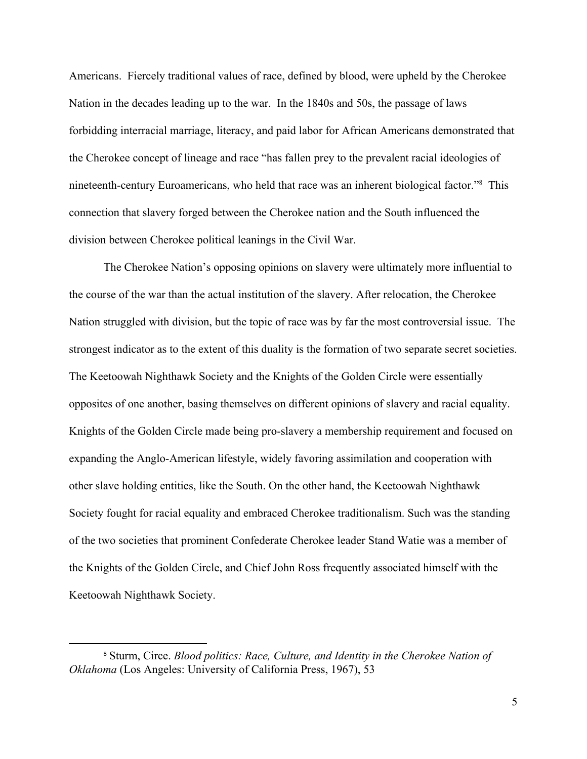Americans. Fiercely traditional values of race, defined by blood, were upheld by the Cherokee Nation in the decades leading up to the war. In the 1840s and 50s, the passage of laws forbidding interracial marriage, literacy, and paid labor for African Americans demonstrated that the Cherokee concept of lineage and race "has fallen prey to the prevalent racial ideologies of nineteenth-century Euroamericans, who held that race was an inherent biological factor."<sup>8</sup> This connection that slavery forged between the Cherokee nation and the South influenced the division between Cherokee political leanings in the Civil War.

The Cherokee Nation's opposing opinions on slavery were ultimately more influential to the course of the war than the actual institution of the slavery. After relocation, the Cherokee Nation struggled with division, but the topic of race was by far the most controversial issue. The strongest indicator as to the extent of this duality is the formation of two separate secret societies. The Keetoowah Nighthawk Society and the Knights of the Golden Circle were essentially opposites of one another, basing themselves on different opinions of slavery and racial equality. Knights of the Golden Circle made being pro-slavery a membership requirement and focused on expanding the Anglo-American lifestyle, widely favoring assimilation and cooperation with other slave holding entities, like the South. On the other hand, the Keetoowah Nighthawk Society fought for racial equality and embraced Cherokee traditionalism. Such was the standing of the two societies that prominent Confederate Cherokee leader Stand Watie was a member of the Knights of the Golden Circle, and Chief John Ross frequently associated himself with the Keetoowah Nighthawk Society.

<sup>8</sup> Sturm, Circe. *Blood politics: Race, Culture, and Identity in the Cherokee Nation of Oklahoma* (Los Angeles: University of California Press, 1967), 53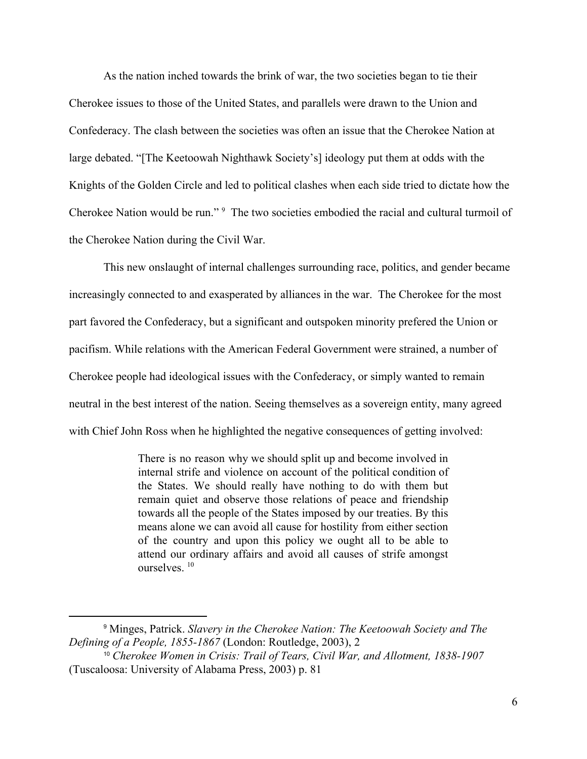As the nation inched towards the brink of war, the two societies began to tie their Cherokee issues to those of the United States, and parallels were drawn to the Union and Confederacy. The clash between the societies was often an issue that the Cherokee Nation at large debated. "[The Keetoowah Nighthawk Society's] ideology put them at odds with the Knights of the Golden Circle and led to political clashes when each side tried to dictate how the Cherokee Nation would be run."<sup>9</sup> The two societies embodied the racial and cultural turmoil of the Cherokee Nation during the Civil War.

This new onslaught of internal challenges surrounding race, politics, and gender became increasingly connected to and exasperated by alliances in the war. The Cherokee for the most part favored the Confederacy, but a significant and outspoken minority prefered the Union or pacifism. While relations with the American Federal Government were strained, a number of Cherokee people had ideological issues with the Confederacy, or simply wanted to remain neutral in the best interest of the nation. Seeing themselves as a sovereign entity, many agreed with Chief John Ross when he highlighted the negative consequences of getting involved:

> There is no reason why we should split up and become involved in internal strife and violence on account of the political condition of the States. We should really have nothing to do with them but remain quiet and observe those relations of peace and friendship towards all the people of the States imposed by our treaties. By this means alone we can avoid all cause for hostility from either section of the country and upon this policy we ought all to be able to attend our ordinary affairs and avoid all causes of strife amongst ourselves. <sup>10</sup>

<sup>9</sup> Minges, Patrick. *Slavery in the Cherokee Nation: The Keetoowah Society and The Defining of a People, 1855-1867* (London: Routledge, 2003), 2

<sup>10</sup> *Cherokee Women in Crisis: Trail of Tears, Civil War, and Allotment, 1838-1907* (Tuscaloosa: University of Alabama Press, 2003) p. 81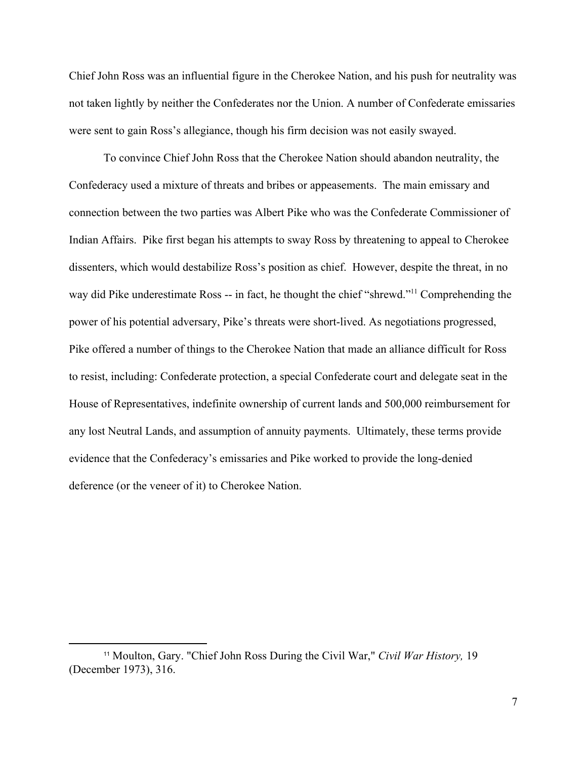Chief John Ross was an influential figure in the Cherokee Nation, and his push for neutrality was not taken lightly by neither the Confederates nor the Union. A number of Confederate emissaries were sent to gain Ross's allegiance, though his firm decision was not easily swayed.

To convince Chief John Ross that the Cherokee Nation should abandon neutrality, the Confederacy used a mixture of threats and bribes or appeasements. The main emissary and connection between the two parties was Albert Pike who was the Confederate Commissioner of Indian Affairs. Pike first began his attempts to sway Ross by threatening to appeal to Cherokee dissenters, which would destabilize Ross's position as chief. However, despite the threat, in no way did Pike underestimate Ross -- in fact, he thought the chief "shrewd."<sup>11</sup> Comprehending the power of his potential adversary, Pike's threats were short-lived. As negotiations progressed, Pike offered a number of things to the Cherokee Nation that made an alliance difficult for Ross to resist, including: Confederate protection, a special Confederate court and delegate seat in the House of Representatives, indefinite ownership of current lands and 500,000 reimbursement for any lost Neutral Lands, and assumption of annuity payments. Ultimately, these terms provide evidence that the Confederacy's emissaries and Pike worked to provide the long-denied deference (or the veneer of it) to Cherokee Nation.

<sup>11</sup> Moulton, Gary. "Chief John Ross During the Civil War," *Civil War History,* 19 (December 1973), 316.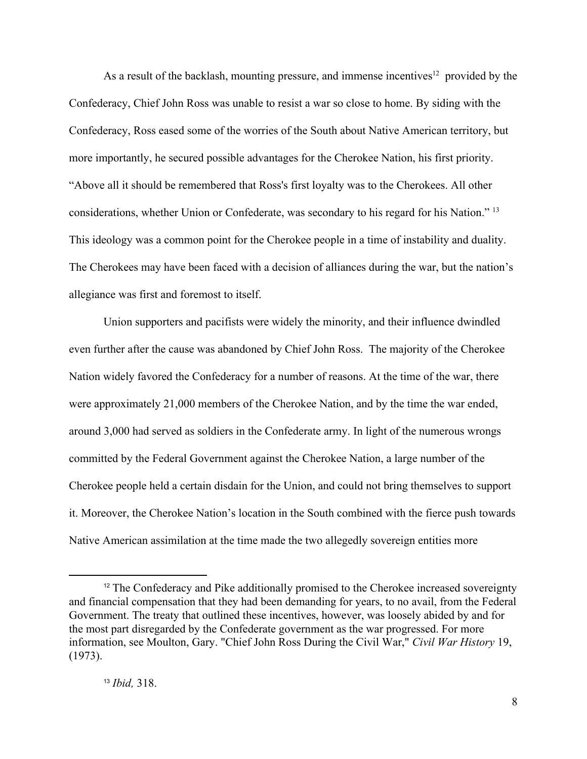As a result of the backlash, mounting pressure, and immense incentives<sup>12</sup> provided by the Confederacy, Chief John Ross was unable to resist a war so close to home. By siding with the Confederacy, Ross eased some of the worries of the South about Native American territory, but more importantly, he secured possible advantages for the Cherokee Nation, his first priority. "Above all it should be remembered that Ross's first loyalty was to the Cherokees. All other considerations, whether Union or Confederate, was secondary to his regard for his Nation." <sup>13</sup> This ideology was a common point for the Cherokee people in a time of instability and duality. The Cherokees may have been faced with a decision of alliances during the war, but the nation's allegiance was first and foremost to itself.

Union supporters and pacifists were widely the minority, and their influence dwindled even further after the cause was abandoned by Chief John Ross. The majority of the Cherokee Nation widely favored the Confederacy for a number of reasons. At the time of the war, there were approximately 21,000 members of the Cherokee Nation, and by the time the war ended, around 3,000 had served as soldiers in the Confederate army. In light of the numerous wrongs committed by the Federal Government against the Cherokee Nation, a large number of the Cherokee people held a certain disdain for the Union, and could not bring themselves to support it. Moreover, the Cherokee Nation's location in the South combined with the fierce push towards Native American assimilation at the time made the two allegedly sovereign entities more

<sup>&</sup>lt;sup>12</sup> The Confederacy and Pike additionally promised to the Cherokee increased sovereignty and financial compensation that they had been demanding for years, to no avail, from the Federal Government. The treaty that outlined these incentives, however, was loosely abided by and for the most part disregarded by the Confederate government as the war progressed. For more information, see Moulton, Gary. "Chief John Ross During the Civil War," *Civil War History* 19, (1973).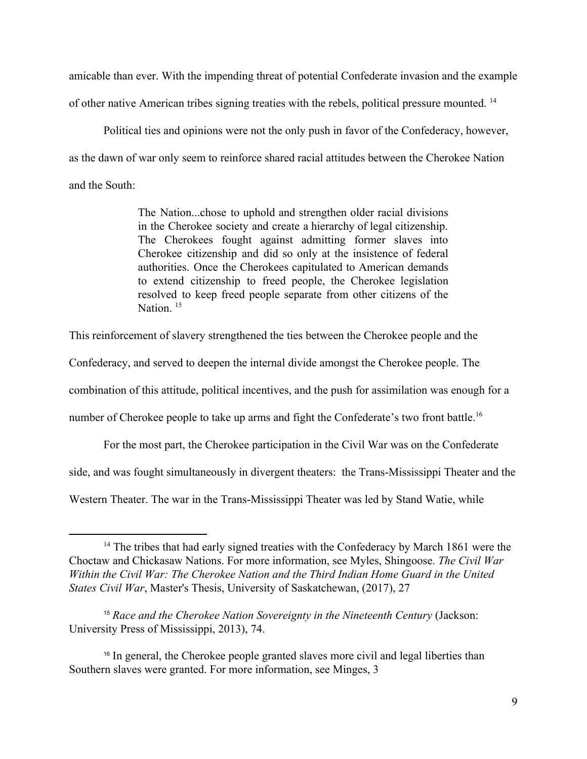amicable than ever. With the impending threat of potential Confederate invasion and the example of other native American tribes signing treaties with the rebels, political pressure mounted. <sup>14</sup>

Political ties and opinions were not the only push in favor of the Confederacy, however, as the dawn of war only seem to reinforce shared racial attitudes between the Cherokee Nation and the South:

> The Nation...chose to uphold and strengthen older racial divisions in the Cherokee society and create a hierarchy of legal citizenship. The Cherokees fought against admitting former slaves into Cherokee citizenship and did so only at the insistence of federal authorities. Once the Cherokees capitulated to American demands to extend citizenship to freed people, the Cherokee legislation resolved to keep freed people separate from other citizens of the Nation<sup>15</sup>

This reinforcement of slavery strengthened the ties between the Cherokee people and the

Confederacy, and served to deepen the internal divide amongst the Cherokee people. The

combination of this attitude, political incentives, and the push for assimilation was enough for a

number of Cherokee people to take up arms and fight the Confederate's two front battle.<sup>16</sup>

For the most part, the Cherokee participation in the Civil War was on the Confederate

side, and was fought simultaneously in divergent theaters: the Trans-Mississippi Theater and the

Western Theater. The war in the Trans-Mississippi Theater was led by Stand Watie, while

<sup>&</sup>lt;sup>14</sup> The tribes that had early signed treaties with the Confederacy by March 1861 were the Choctaw and Chickasaw Nations. For more information, see Myles, Shingoose. *The Civil War Within the Civil War: The Cherokee Nation and the Third Indian Home Guard in the United States Civil War*, Master's Thesis, University of Saskatchewan, (2017), 27

<sup>15</sup> *Race and the Cherokee Nation Sovereignty in the Nineteenth Century* (Jackson: University Press of Mississippi, 2013), 74.

<sup>&</sup>lt;sup>16</sup> In general, the Cherokee people granted slaves more civil and legal liberties than Southern slaves were granted. For more information, see Minges, 3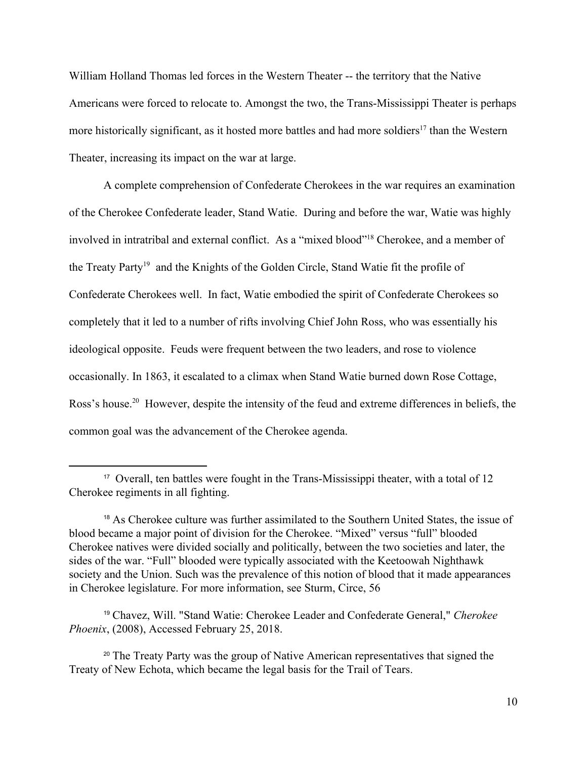William Holland Thomas led forces in the Western Theater -- the territory that the Native Americans were forced to relocate to. Amongst the two, the Trans-Mississippi Theater is perhaps more historically significant, as it hosted more battles and had more soldiers<sup>17</sup> than the Western Theater, increasing its impact on the war at large.

A complete comprehension of Confederate Cherokees in the war requires an examination of the Cherokee Confederate leader, Stand Watie. During and before the war, Watie was highly involved in intratribal and external conflict. As a "mixed blood"<sup>18</sup> Cherokee, and a member of the Treaty Party<sup>19</sup> and the Knights of the Golden Circle, Stand Watie fit the profile of Confederate Cherokees well. In fact, Watie embodied the spirit of Confederate Cherokees so completely that it led to a number of rifts involving Chief John Ross, who was essentially his ideological opposite. Feuds were frequent between the two leaders, and rose to violence occasionally. In 1863, it escalated to a climax when Stand Watie burned down Rose Cottage, Ross's house.<sup>20</sup> However, despite the intensity of the feud and extreme differences in beliefs, the common goal was the advancement of the Cherokee agenda.

<sup>17</sup> Overall, ten battles were fought in the Trans-Mississippi theater, with a total of 12 Cherokee regiments in all fighting.

<sup>18</sup> As Cherokee culture was further assimilated to the Southern United States, the issue of blood became a major point of division for the Cherokee. "Mixed" versus "full" blooded Cherokee natives were divided socially and politically, between the two societies and later, the sides of the war. "Full" blooded were typically associated with the Keetoowah Nighthawk society and the Union. Such was the prevalence of this notion of blood that it made appearances in Cherokee legislature. For more information, see Sturm, Circe, 56

<sup>19</sup> Chavez, Will. "Stand Watie: Cherokee Leader and Confederate General," *Cherokee Phoenix*, (2008), Accessed February 25, 2018.

<sup>&</sup>lt;sup>20</sup> The Treaty Party was the group of Native American representatives that signed the Treaty of New Echota, which became the legal basis for the Trail of Tears.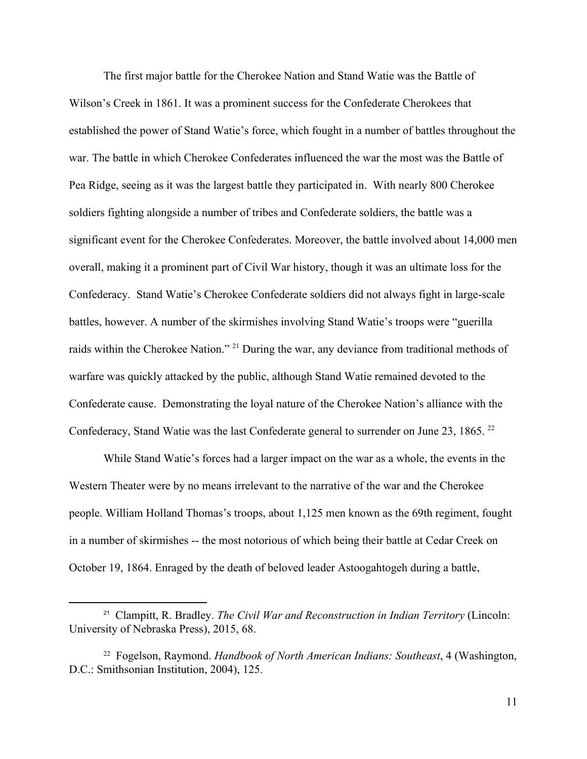The first major battle for the Cherokee Nation and Stand Watie was the Battle of Wilson's Creek in 1861. It was a prominent success for the Confederate Cherokees that established the power of Stand Watie's force, which fought in a number of battles throughout the war. The battle in which Cherokee Confederates influenced the war the most was the Battle of Pea Ridge, seeing as it was the largest battle they participated in. With nearly 800 Cherokee soldiers fighting alongside a number of tribes and Confederate soldiers, the battle was a significant event for the Cherokee Confederates. Moreover, the battle involved about 14,000 men overall, making it a prominent part of Civil War history, though it was an ultimate loss for the Confederacy. Stand Watie's Cherokee Confederate soldiers did not always fight in large-scale battles, however. A number of the skirmishes involving Stand Watie's troops were "guerilla raids within the Cherokee Nation." <sup>21</sup> During the war, any deviance from traditional methods of warfare was quickly attacked by the public, although Stand Watie remained devoted to the Confederate cause. Demonstrating the loyal nature of the Cherokee Nation's alliance with the Confederacy, Stand Watie was the last Confederate general to surrender on June 23, 1865. <sup>22</sup>

While Stand Watie's forces had a larger impact on the war as a whole, the events in the Western Theater were by no means irrelevant to the narrative of the war and the Cherokee people. William Holland Thomas's troops, about 1,125 men known as the 69th regiment, fought in a number of skirmishes -- the most notorious of which being their battle at Cedar Creek on October 19, 1864. Enraged by the death of beloved leader Astoogahtogeh during a battle,

<sup>21</sup> Clampitt, R. Bradley. *The Civil War and Reconstruction in Indian Territory* (Lincoln: University of Nebraska Press), 2015, 68.

<sup>22</sup> Fogelson, Raymond. *Handbook of North American Indians: Southeast*, 4 (Washington, D.C.: Smithsonian Institution, 2004), 125.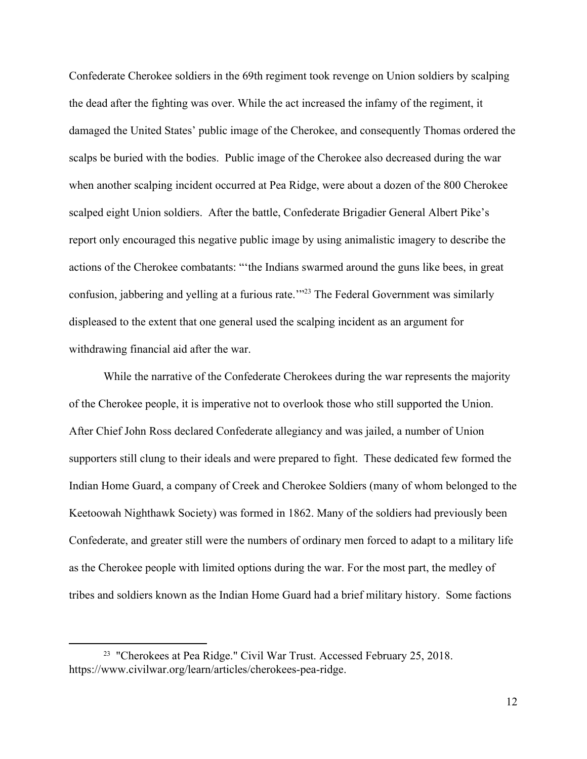Confederate Cherokee soldiers in the 69th regiment took revenge on Union soldiers by scalping the dead after the fighting was over. While the act increased the infamy of the regiment, it damaged the United States' public image of the Cherokee, and consequently Thomas ordered the scalps be buried with the bodies. Public image of the Cherokee also decreased during the war when another scalping incident occurred at Pea Ridge, were about a dozen of the 800 Cherokee scalped eight Union soldiers. After the battle, Confederate Brigadier General Albert Pike's report only encouraged this negative public image by using animalistic imagery to describe the actions of the Cherokee combatants: "'the Indians swarmed around the guns like bees, in great confusion, jabbering and yelling at a furious rate.'"<sup>23</sup> The Federal Government was similarly displeased to the extent that one general used the scalping incident as an argument for withdrawing financial aid after the war.

While the narrative of the Confederate Cherokees during the war represents the majority of the Cherokee people, it is imperative not to overlook those who still supported the Union. After Chief John Ross declared Confederate allegiancy and was jailed, a number of Union supporters still clung to their ideals and were prepared to fight. These dedicated few formed the Indian Home Guard, a company of Creek and Cherokee Soldiers (many of whom belonged to the Keetoowah Nighthawk Society) was formed in 1862. Many of the soldiers had previously been Confederate, and greater still were the numbers of ordinary men forced to adapt to a military life as the Cherokee people with limited options during the war. For the most part, the medley of tribes and soldiers known as the Indian Home Guard had a brief military history. Some factions

<sup>&</sup>lt;sup>23</sup> "Cherokees at Pea Ridge." Civil War Trust. Accessed February 25, 2018. https://www.civilwar.org/learn/articles/cherokees-pea-ridge.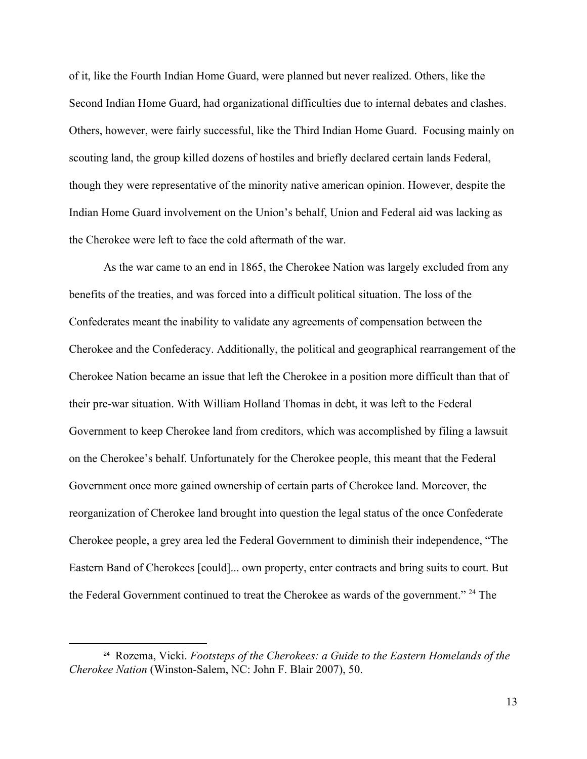of it, like the Fourth Indian Home Guard, were planned but never realized. Others, like the Second Indian Home Guard, had organizational difficulties due to internal debates and clashes. Others, however, were fairly successful, like the Third Indian Home Guard. Focusing mainly on scouting land, the group killed dozens of hostiles and briefly declared certain lands Federal, though they were representative of the minority native american opinion. However, despite the Indian Home Guard involvement on the Union's behalf, Union and Federal aid was lacking as the Cherokee were left to face the cold aftermath of the war.

As the war came to an end in 1865, the Cherokee Nation was largely excluded from any benefits of the treaties, and was forced into a difficult political situation. The loss of the Confederates meant the inability to validate any agreements of compensation between the Cherokee and the Confederacy. Additionally, the political and geographical rearrangement of the Cherokee Nation became an issue that left the Cherokee in a position more difficult than that of their pre-war situation. With William Holland Thomas in debt, it was left to the Federal Government to keep Cherokee land from creditors, which was accomplished by filing a lawsuit on the Cherokee's behalf. Unfortunately for the Cherokee people, this meant that the Federal Government once more gained ownership of certain parts of Cherokee land. Moreover, the reorganization of Cherokee land brought into question the legal status of the once Confederate Cherokee people, a grey area led the Federal Government to diminish their independence, "The Eastern Band of Cherokees [could]... own property, enter contracts and bring suits to court. But the Federal Government continued to treat the Cherokee as wards of the government."  $24$  The

<sup>24</sup> Rozema, Vicki. *Footsteps of the Cherokees: a Guide to the Eastern Homelands of the Cherokee Nation* (Winston-Salem, NC: John F. Blair 2007), 50.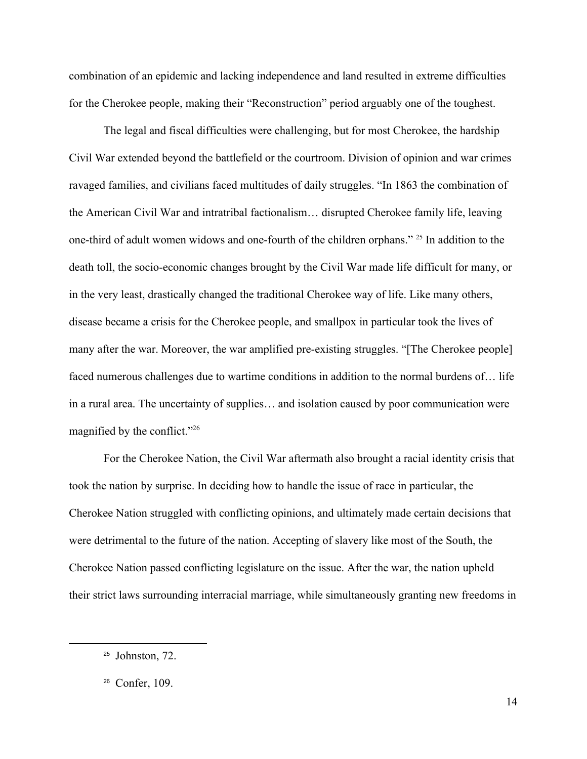combination of an epidemic and lacking independence and land resulted in extreme difficulties for the Cherokee people, making their "Reconstruction" period arguably one of the toughest.

The legal and fiscal difficulties were challenging, but for most Cherokee, the hardship Civil War extended beyond the battlefield or the courtroom. Division of opinion and war crimes ravaged families, and civilians faced multitudes of daily struggles. "In 1863 the combination of the American Civil War and intratribal factionalism… disrupted Cherokee family life, leaving one-third of adult women widows and one-fourth of the children orphans." <sup>25</sup> In addition to the death toll, the socio-economic changes brought by the Civil War made life difficult for many, or in the very least, drastically changed the traditional Cherokee way of life. Like many others, disease became a crisis for the Cherokee people, and smallpox in particular took the lives of many after the war. Moreover, the war amplified pre-existing struggles. "[The Cherokee people] faced numerous challenges due to wartime conditions in addition to the normal burdens of… life in a rural area. The uncertainty of supplies… and isolation caused by poor communication were magnified by the conflict."<sup>26</sup>

For the Cherokee Nation, the Civil War aftermath also brought a racial identity crisis that took the nation by surprise. In deciding how to handle the issue of race in particular, the Cherokee Nation struggled with conflicting opinions, and ultimately made certain decisions that were detrimental to the future of the nation. Accepting of slavery like most of the South, the Cherokee Nation passed conflicting legislature on the issue. After the war, the nation upheld their strict laws surrounding interracial marriage, while simultaneously granting new freedoms in

 $25$  Johnston, 72.

<sup>26</sup> Confer, 109.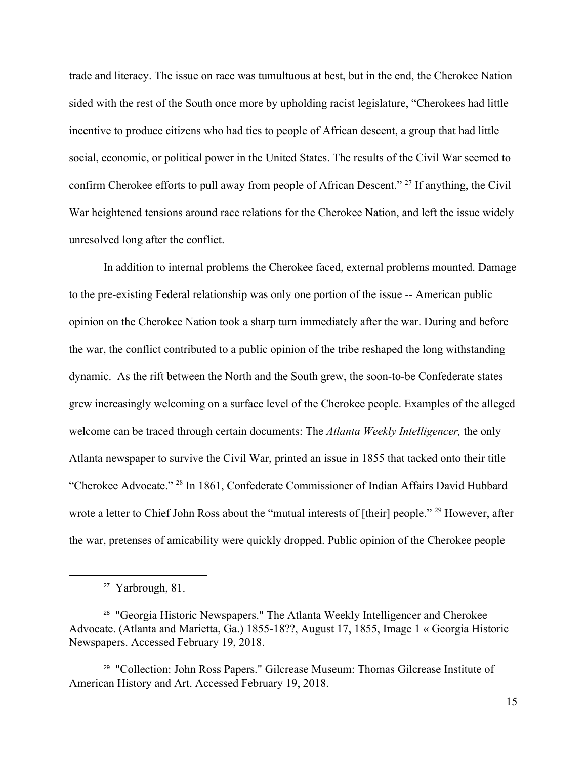trade and literacy. The issue on race was tumultuous at best, but in the end, the Cherokee Nation sided with the rest of the South once more by upholding racist legislature, "Cherokees had little incentive to produce citizens who had ties to people of African descent, a group that had little social, economic, or political power in the United States. The results of the Civil War seemed to confirm Cherokee efforts to pull away from people of African Descent." <sup>27</sup> If anything, the Civil War heightened tensions around race relations for the Cherokee Nation, and left the issue widely unresolved long after the conflict.

In addition to internal problems the Cherokee faced, external problems mounted. Damage to the pre-existing Federal relationship was only one portion of the issue -- American public opinion on the Cherokee Nation took a sharp turn immediately after the war. During and before the war, the conflict contributed to a public opinion of the tribe reshaped the long withstanding dynamic. As the rift between the North and the South grew, the soon-to-be Confederate states grew increasingly welcoming on a surface level of the Cherokee people. Examples of the alleged welcome can be traced through certain documents: The *Atlanta Weekly Intelligencer,* the only Atlanta newspaper to survive the Civil War, printed an issue in 1855 that tacked onto their title "Cherokee Advocate." <sup>28</sup> In 1861, Confederate Commissioner of Indian Affairs David Hubbard wrote a letter to Chief John Ross about the "mutual interests of [their] people." <sup>29</sup> However, after the war, pretenses of amicability were quickly dropped. Public opinion of the Cherokee people

<sup>27</sup> Yarbrough, 81.

<sup>28</sup> "Georgia Historic Newspapers." The Atlanta Weekly Intelligencer and Cherokee Advocate. (Atlanta and Marietta, Ga.) 1855-18??, August 17, 1855, Image 1 « Georgia Historic Newspapers. Accessed February 19, 2018.

<sup>29</sup> "Collection: John Ross Papers." Gilcrease Museum: Thomas Gilcrease Institute of American History and Art. Accessed February 19, 2018.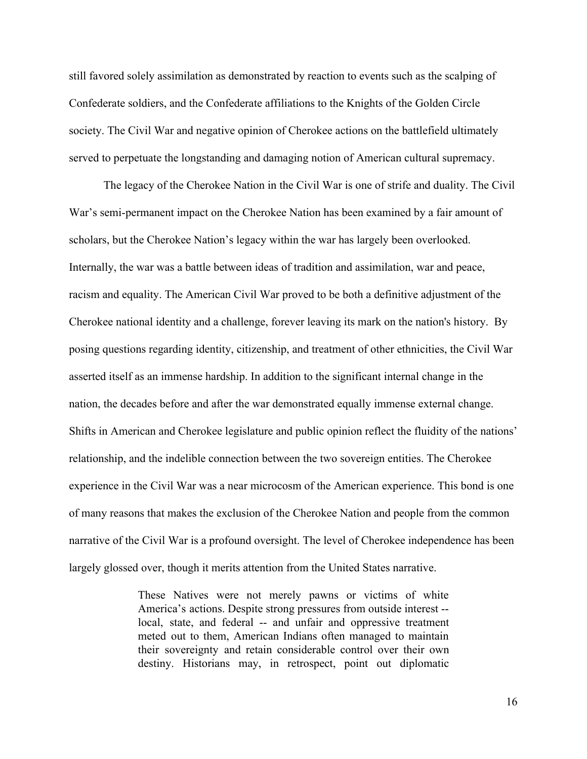still favored solely assimilation as demonstrated by reaction to events such as the scalping of Confederate soldiers, and the Confederate affiliations to the Knights of the Golden Circle society. The Civil War and negative opinion of Cherokee actions on the battlefield ultimately served to perpetuate the longstanding and damaging notion of American cultural supremacy.

The legacy of the Cherokee Nation in the Civil War is one of strife and duality. The Civil War's semi-permanent impact on the Cherokee Nation has been examined by a fair amount of scholars, but the Cherokee Nation's legacy within the war has largely been overlooked. Internally, the war was a battle between ideas of tradition and assimilation, war and peace, racism and equality. The American Civil War proved to be both a definitive adjustment of the Cherokee national identity and a challenge, forever leaving its mark on the nation's history. By posing questions regarding identity, citizenship, and treatment of other ethnicities, the Civil War asserted itself as an immense hardship. In addition to the significant internal change in the nation, the decades before and after the war demonstrated equally immense external change. Shifts in American and Cherokee legislature and public opinion reflect the fluidity of the nations' relationship, and the indelible connection between the two sovereign entities. The Cherokee experience in the Civil War was a near microcosm of the American experience. This bond is one of many reasons that makes the exclusion of the Cherokee Nation and people from the common narrative of the Civil War is a profound oversight. The level of Cherokee independence has been largely glossed over, though it merits attention from the United States narrative.

> These Natives were not merely pawns or victims of white America's actions. Despite strong pressures from outside interest - local, state, and federal -- and unfair and oppressive treatment meted out to them, American Indians often managed to maintain their sovereignty and retain considerable control over their own destiny. Historians may, in retrospect, point out diplomatic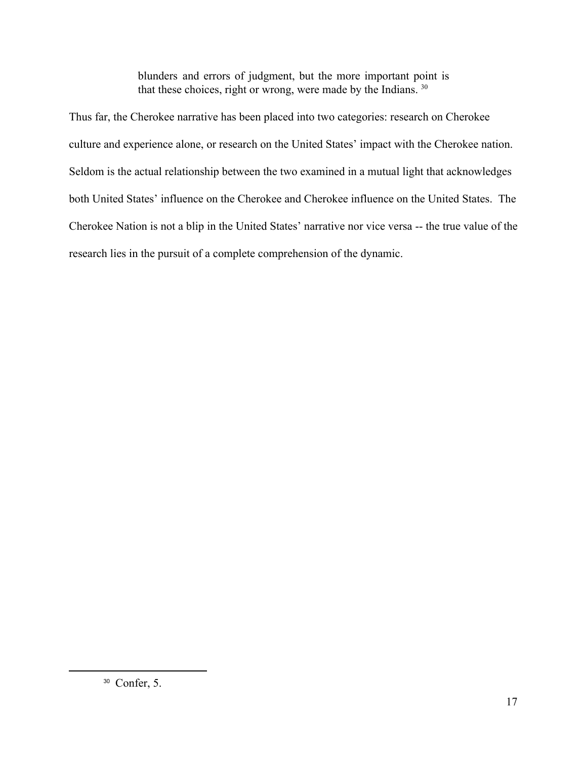blunders and errors of judgment, but the more important point is that these choices, right or wrong, were made by the Indians. <sup>30</sup>

Thus far, the Cherokee narrative has been placed into two categories: research on Cherokee culture and experience alone, or research on the United States' impact with the Cherokee nation. Seldom is the actual relationship between the two examined in a mutual light that acknowledges both United States' influence on the Cherokee and Cherokee influence on the United States. The Cherokee Nation is not a blip in the United States' narrative nor vice versa -- the true value of the research lies in the pursuit of a complete comprehension of the dynamic.

<sup>30</sup> Confer, 5.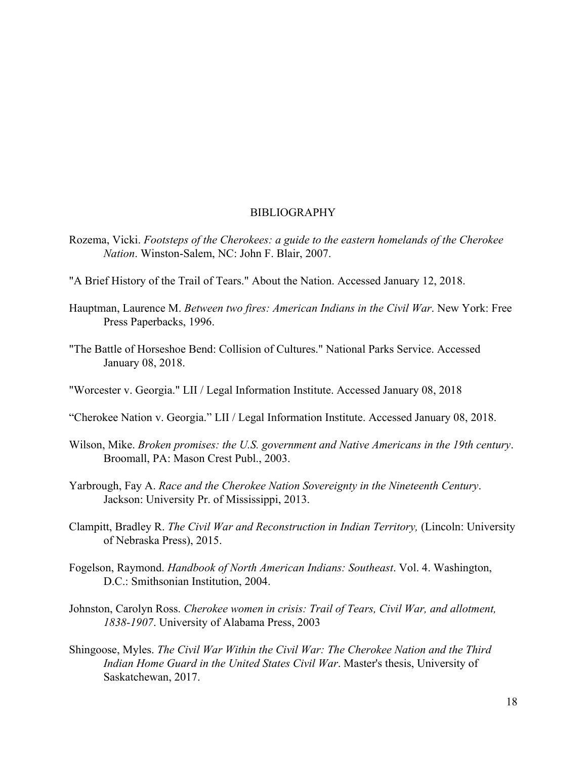## BIBLIOGRAPHY

- Rozema, Vicki. *Footsteps of the Cherokees: a guide to the eastern homelands of the Cherokee Nation*. Winston-Salem, NC: John F. Blair, 2007.
- "A Brief History of the Trail of Tears." About the Nation. Accessed January 12, 2018.
- Hauptman, Laurence M. *Between two fires: American Indians in the Civil War*. New York: Free Press Paperbacks, 1996.
- "The Battle of Horseshoe Bend: Collision of Cultures." National Parks Service. Accessed January 08, 2018.
- "Worcester v. Georgia." LII / Legal Information Institute. Accessed January 08, 2018
- "Cherokee Nation v. Georgia." LII / Legal Information Institute. Accessed January 08, 2018.
- Wilson, Mike. *Broken promises: the U.S. government and Native Americans in the 19th century*. Broomall, PA: Mason Crest Publ., 2003.
- Yarbrough, Fay A. *Race and the Cherokee Nation Sovereignty in the Nineteenth Century*. Jackson: University Pr. of Mississippi, 2013.
- Clampitt, Bradley R. *The Civil War and Reconstruction in Indian Territory,* (Lincoln: University of Nebraska Press), 2015.
- Fogelson, Raymond. *Handbook of North American Indians: Southeast*. Vol. 4. Washington, D.C.: Smithsonian Institution, 2004.
- Johnston, Carolyn Ross. *Cherokee women in crisis: Trail of Tears, Civil War, and allotment, 1838-1907*. University of Alabama Press, 2003
- Shingoose, Myles. *The Civil War Within the Civil War: The Cherokee Nation and the Third Indian Home Guard in the United States Civil War*. Master's thesis, University of Saskatchewan, 2017.